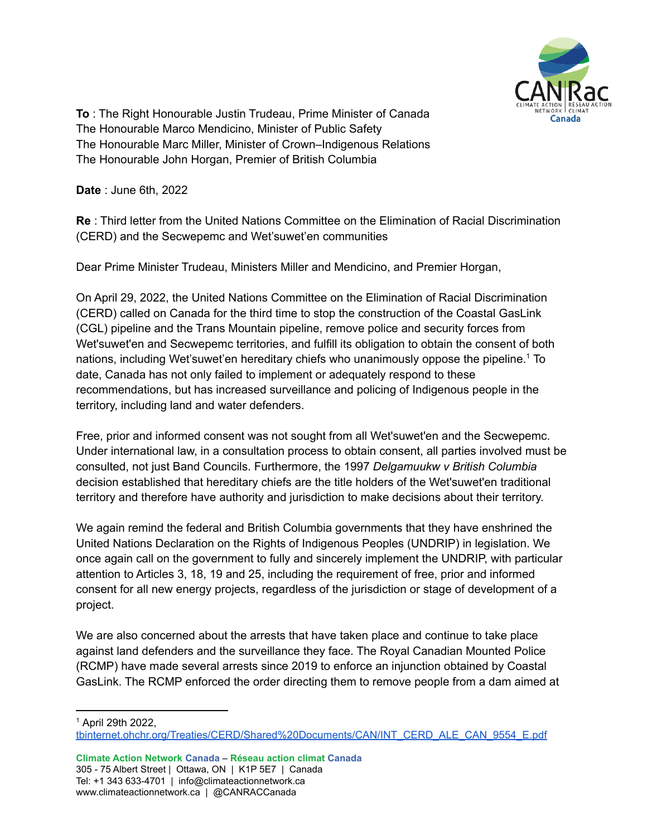

**To** : The Right Honourable Justin Trudeau, Prime Minister of Canada The Honourable Marco Mendicino, Minister of Public Safety The Honourable Marc Miller, Minister of Crown–Indigenous Relations The Honourable John Horgan, Premier of British Columbia

**Date** : June 6th, 2022

**Re** : Third letter from the United Nations Committee on the Elimination of Racial Discrimination (CERD) and the Secwepemc and Wet'suwet'en communities

Dear Prime Minister Trudeau, Ministers Miller and Mendicino, and Premier Horgan,

On April 29, 2022, the United Nations Committee on the Elimination of Racial Discrimination (CERD) called on Canada for the third time to stop the construction of the Coastal GasLink (CGL) pipeline and the Trans Mountain pipeline, remove police and security forces from Wet'suwet'en and Secwepemc territories, and fulfill its obligation to obtain the consent of both nations, including Wet'suwet'en hereditary chiefs who unanimously oppose the pipeline. <sup>1</sup> To date, Canada has not only failed to implement or adequately respond to these recommendations, but has increased surveillance and policing of Indigenous people in the territory, including land and water defenders.

Free, prior and informed consent was not sought from all Wet'suwet'en and the Secwepemc. Under international law, in a consultation process to obtain consent, all parties involved must be consulted, not just Band Councils. Furthermore, the 1997 *Delgamuukw v British Columbia* decision established that hereditary chiefs are the title holders of the Wet'suwet'en traditional territory and therefore have authority and jurisdiction to make decisions about their territory.

We again remind the federal and British Columbia governments that they have enshrined the United Nations Declaration on the Rights of Indigenous Peoples (UNDRIP) in legislation. We once again call on the government to fully and sincerely implement the UNDRIP, with particular attention to Articles 3, 18, 19 and 25, including the requirement of free, prior and informed consent for all new energy projects, regardless of the jurisdiction or stage of development of a project.

We are also concerned about the arrests that have taken place and continue to take place against land defenders and the surveillance they face. The Royal Canadian Mounted Police (RCMP) have made several arrests since 2019 to enforce an injunction obtained by Coastal GasLink. The RCMP enforced the order directing them to remove people from a dam aimed at

<sup>1</sup> April 29th 2022,

**Climate Action Network Canada** – **Réseau action climat Canada** 305 - 75 Albert Street | Ottawa, ON | K1P 5E7 | Canada Tel: +1 343 633-4701 | info@climateactionnetwork.ca www.climateactionnetwork.ca | @CANRACCanada

[tbinternet.ohchr.org/Treaties/CERD/Shared%20Documents/CAN/INT\\_CERD\\_ALE\\_CAN\\_9554\\_E.pdf](http://tbinternet.ohchr.org/Treaties/CERD/Shared%20Documents/CAN/INT_CERD_ALE_CAN_9554_E.pdf)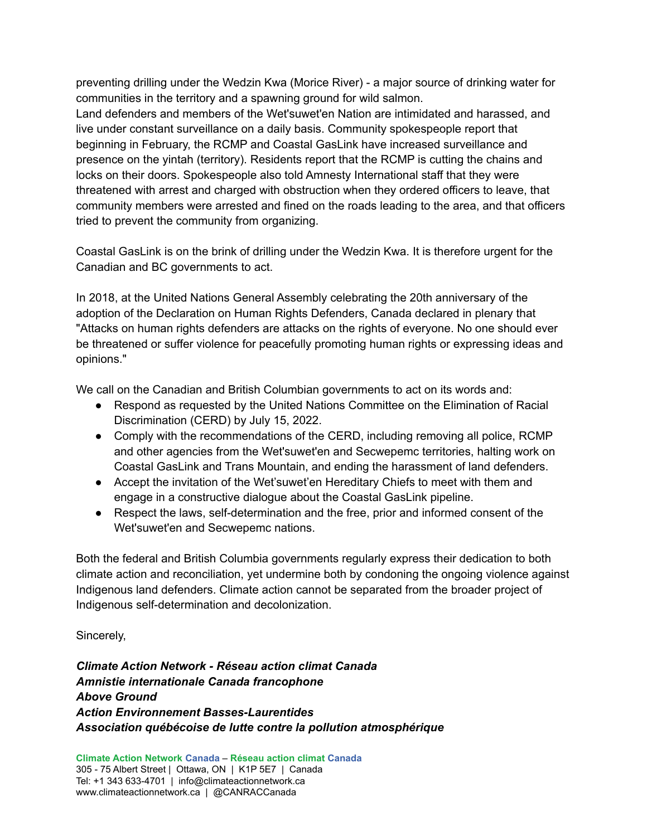preventing drilling under the Wedzin Kwa (Morice River) - a major source of drinking water for communities in the territory and a spawning ground for wild salmon.

Land defenders and members of the Wet'suwet'en Nation are intimidated and harassed, and live under constant surveillance on a daily basis. Community spokespeople report that beginning in February, the RCMP and Coastal GasLink have increased surveillance and presence on the yintah (territory). Residents report that the RCMP is cutting the chains and locks on their doors. Spokespeople also told Amnesty International staff that they were threatened with arrest and charged with obstruction when they ordered officers to leave, that community members were arrested and fined on the roads leading to the area, and that officers tried to prevent the community from organizing.

Coastal GasLink is on the brink of drilling under the Wedzin Kwa. It is therefore urgent for the Canadian and BC governments to act.

In 2018, at the United Nations General Assembly celebrating the 20th anniversary of the adoption of the Declaration on Human Rights Defenders, Canada declared in plenary that "Attacks on human rights defenders are attacks on the rights of everyone. No one should ever be threatened or suffer violence for peacefully promoting human rights or expressing ideas and opinions."

We call on the Canadian and British Columbian governments to act on its words and:

- Respond as requested by the United Nations Committee on the Elimination of Racial Discrimination (CERD) by July 15, 2022.
- Comply with the recommendations of the CERD, including removing all police, RCMP and other agencies from the Wet'suwet'en and Secwepemc territories, halting work on Coastal GasLink and Trans Mountain, and ending the harassment of land defenders.
- Accept the invitation of the Wet'suwet'en Hereditary Chiefs to meet with them and engage in a constructive dialogue about the Coastal GasLink pipeline.
- Respect the laws, self-determination and the free, prior and informed consent of the Wet'suwet'en and Secwepemc nations.

Both the federal and British Columbia governments regularly express their dedication to both climate action and reconciliation, yet undermine both by condoning the ongoing violence against Indigenous land defenders. Climate action cannot be separated from the broader project of Indigenous self-determination and decolonization.

## Sincerely,

*Climate Action Network - Réseau action climat Canada Amnistie internationale Canada francophone Above Ground Action Environnement Basses-Laurentides Association québécoise de lutte contre la pollution atmosphérique*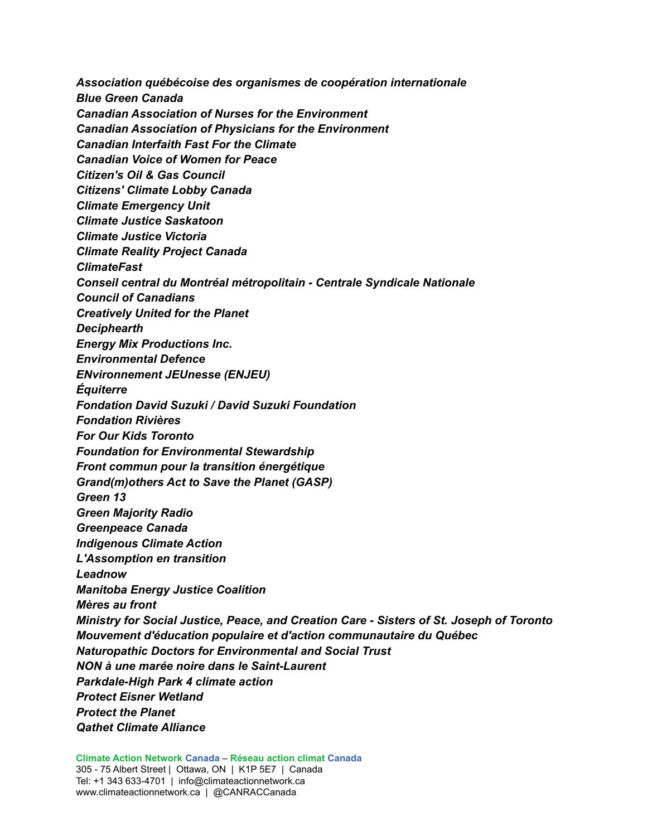*Association québécoise des organismes de coopération internationale Blue Green Canada Canadian Association of Nurses for the Environment Canadian Association of Physicians for the Environment Canadian Interfaith Fast For the Climate Canadian Voice of Women for Peace Citizen's Oil & Gas Council Citizens' Climate Lobby Canada Climate Emergency Unit Climate Justice Saskatoon Climate Justice Victoria Climate Reality Project Canada ClimateFast Conseil central du Montréal métropolitain - Centrale Syndicale Nationale Council of Canadians Creatively United for the Planet Deciphearth Energy Mix Productions Inc. Environmental Defence ENvironnement JEUnesse (ENJEU) Équiterre Fondation David Suzuki / David Suzuki Foundation Fondation Rivières For Our Kids Toronto Foundation for Environmental Stewardship Front commun pour la transition énergétique Grand(m)others Act to Save the Planet (GASP) Green 13 Green Majority Radio Greenpeace Canada Indigenous Climate Action L'Assomption en transition Leadnow Manitoba Energy Justice Coalition Mères au front Ministry for Social Justice, Peace, and Creation Care - Sisters of St. Joseph of Toronto Mouvement d'éducation populaire et d'action communautaire du Québec Naturopathic Doctors for Environmental and Social Trust NON à une marée noire dans le Saint-Laurent Parkdale-High Park 4 climate action Protect Eisner Wetland Protect the Planet Qathet Climate Alliance*

**Climate Action Network Canada** – **Réseau action climat Canada** 305 - 75 Albert Street | Ottawa, ON | K1P 5E7 | Canada Tel: +1 343 633-4701 | info@climateactionnetwork.ca www.climateactionnetwork.ca | @CANRACCanada